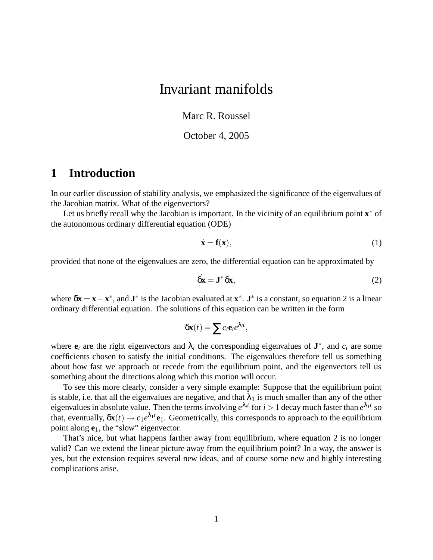# Invariant manifolds

Marc R. Roussel

October 4, 2005

## **1 Introduction**

In our earlier discussion of stability analysis, we emphasized the significance of the eigenvalues of the Jacobian matrix. What of the eigenvectors?

Let us briefly recall why the Jacobian is important. In the vicinity of an equilibrium point **x** ∗ of the autonomous ordinary differential equation (ODE)

$$
\dot{\mathbf{x}} = \mathbf{f}(\mathbf{x}),\tag{1}
$$

provided that none of the eigenvalues are zero, the differential equation can be approximated by

$$
\dot{\delta x} = \mathbf{J}^* \, \delta x,\tag{2}
$$

where  $\delta x = x - x^*$ , and  $J^*$  is the Jacobian evaluated at  $x^*$ .  $J^*$  is a constant, so equation 2 is a linear ordinary differential equation. The solutions of this equation can be written in the form

$$
\delta \mathbf{x}(t) = \sum c_i \mathbf{e}_i e^{\lambda_i t},
$$

where  $e_i$  are the right eigenvectors and  $\lambda_i$  the corresponding eigenvalues of  $J^*$ , and  $c_i$  are some coefficients chosen to satisfy the initial conditions. The eigenvalues therefore tell us something about how fast we approach or recede from the equilibrium point, and the eigenvectors tell us something about the directions along which this motion will occur.

To see this more clearly, consider a very simple example: Suppose that the equilibrium point is stable, i.e. that all the eigenvalues are negative, and that  $\lambda_1$  is much smaller than any of the other eigenvalues in absolute value. Then the terms involving  $e^{\lambda_i t}$  for  $i > 1$  decay much faster than  $e^{\lambda_1 t}$  so that, eventually,  $\delta \mathbf{x}(t) \to c_1 e^{\lambda_1 t} \mathbf{e}_1$ . Geometrically, this corresponds to approach to the equilibrium point along **e**1, the "slow" eigenvector.

That's nice, but what happens farther away from equilibrium, where equation 2 is no longer valid? Can we extend the linear picture away from the equilibrium point? In a way, the answer is yes, but the extension requires several new ideas, and of course some new and highly interesting complications arise.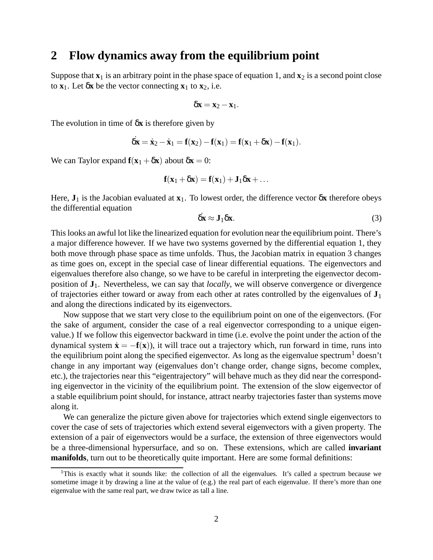### **2 Flow dynamics away from the equilibrium point**

Suppose that  $\mathbf{x}_1$  is an arbitrary point in the phase space of equation 1, and  $\mathbf{x}_2$  is a second point close to  $\mathbf{x}_1$ . Let  $\delta \mathbf{x}$  be the vector connecting  $\mathbf{x}_1$  to  $\mathbf{x}_2$ , i.e.

$$
\delta \mathbf{x} = \mathbf{x}_2 - \mathbf{x}_1.
$$

The evolution in time of δ**x** is therefore given by

$$
\dot{\delta x}=\dot{x}_2-\dot{x}_1=f(x_2)-f(x_1)=f(x_1+\delta x)-f(x_1).
$$

We can Taylor expand  $\mathbf{f}(\mathbf{x}_1 + \delta \mathbf{x})$  about  $\delta \mathbf{x} = 0$ :

$$
\mathbf{f}(\mathbf{x}_1 + \delta \mathbf{x}) = \mathbf{f}(\mathbf{x}_1) + \mathbf{J}_1 \delta \mathbf{x} + \dots
$$

Here,  $J_1$  is the Jacobian evaluated at  $x_1$ . To lowest order, the difference vector  $\delta x$  therefore obeys the differential equation

$$
\dot{\delta x} \approx J_1 \delta x. \tag{3}
$$

Thislooks an awful lot like the linearized equation for evolution near the equilibrium point. There's a major difference however. If we have two systems governed by the differential equation 1, they both move through phase space as time unfolds. Thus, the Jacobian matrix in equation 3 changes as time goes on, except in the special case of linear differential equations. The eigenvectors and eigenvalues therefore also change, so we have to be careful in interpreting the eigenvector decomposition of **J**1. Nevertheless, we can say that *locally*, we will observe convergence or divergence of trajectories either toward or away from each other at rates controlled by the eigenvalues of **J**<sup>1</sup> and along the directions indicated by its eigenvectors.

Now suppose that we start very close to the equilibrium point on one of the eigenvectors. (For the sake of argument, consider the case of a real eigenvector corresponding to a unique eigenvalue.) If we follow this eigenvector backward in time (i.e. evolve the point under the action of the dynamical system  $\dot{\mathbf{x}} = -\mathbf{f}(\mathbf{x})$ , it will trace out a trajectory which, run forward in time, runs into the equilibrium point along the specified eigenvector. As long as the eigenvalue spectrum<sup>1</sup> doesn't change in any important way (eigenvalues don't change order, change signs, become complex, etc.), the trajectories near this "eigentrajectory" will behave much as they did near the corresponding eigenvector in the vicinity of the equilibrium point. The extension of the slow eigenvector of a stable equilibrium point should, for instance, attract nearby trajectories faster than systems move along it.

We can generalize the picture given above for trajectories which extend single eigenvectors to cover the case of sets of trajectories which extend several eigenvectors with a given property. The extension of a pair of eigenvectors would be a surface, the extension of three eigenvectors would be a three-dimensional hypersurface, and so on. These extensions, which are called **invariant manifolds**, turn out to be theoretically quite important. Here are some formal definitions:

<sup>&</sup>lt;sup>1</sup>This is exactly what it sounds like: the collection of all the eigenvalues. It's called a spectrum because we sometime image it by drawing a line at the value of (e.g.) the real part of each eigenvalue. If there's more than one eigenvalue with the same real part, we draw twice as tall a line.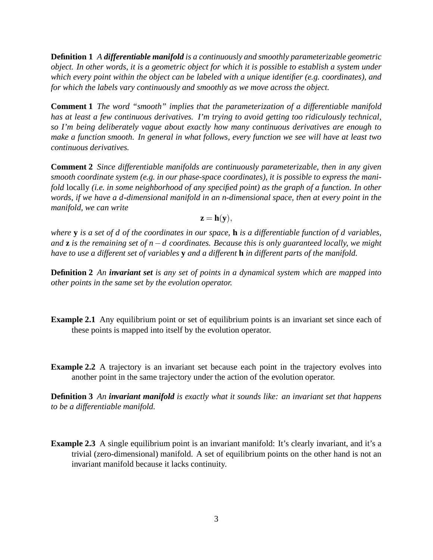**Definition 1** *A differentiable manifold is a continuously and smoothly parameterizable geometric* object. In other words, it is a geometric object for which it is possible to establish a system under *which every point within the object can be labeled with a unique identifier (e.g. coordinates), and for which the labels vary continuously and smoothly as we move across the object.*

**Comment 1** *The word "smooth" implies that the parameterization of a differentiable manifold has at least a few continuous derivatives. I'm trying to avoid getting too ridiculously technical, so I'm being deliberately vague about exactly how many continuous derivatives are enough to make a function smooth. In general in what follows, every function we see will have at least two continuous derivatives.*

**Comment 2** *Since differentiable manifolds are continuously parameterizable, then in any given smooth coordinate system (e.g. in our phase-space coordinates), it is possible to express the manifold* locally *(i.e. in some neighborhood of any specified point) as the graph of a function. In other words, if we have a d-dimensional manifold in an n-dimensional space, then at every point in the manifold, we can write*

 $z = h(v)$ ,

where  $\bf{y}$  is a set of d of the coordinates in our space,  $\bf{h}$  is a differentiable function of d variables, *and* **z** *is the remaining set of n*−*d coordinates. Because this is only guaranteed locally, we might* have to use a different set of variables  $\bf{y}$  and a different  $\bf{h}$  in different parts of the manifold.

**Definition 2** *An invariant set is any set of points in a dynamical system which are mapped into other points in the same set by the evolution operator.*

- **Example 2.1** Any equilibrium point or set of equilibrium points is an invariant set since each of these points is mapped into itself by the evolution operator.
- **Example 2.2** A trajectory is an invariant set because each point in the trajectory evolves into another point in the same trajectory under the action of the evolution operator.

**Definition 3** *An invariant manifold is exactly what it sounds like: an invariant set that happens to be a differentiable manifold.*

**Example 2.3** A single equilibrium point is an invariant manifold: It's clearly invariant, and it's a trivial (zero-dimensional) manifold. A set of equilibrium points on the other hand is not an invariant manifold because it lacks continuity.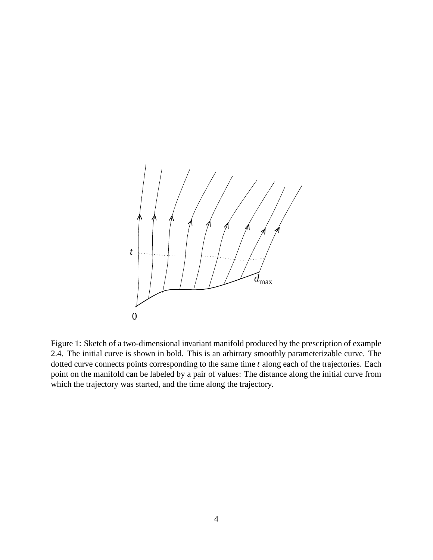

Figure 1: Sketch of a two-dimensional invariant manifold produced by the prescription of example 2.4. The initial curve is shown in bold. This is an arbitrary smoothly parameterizable curve. The dotted curve connects points corresponding to the same time *t* along each of the trajectories. Each point on the manifold can be labeled by a pair of values: The distance along the initial curve from which the trajectory was started, and the time along the trajectory.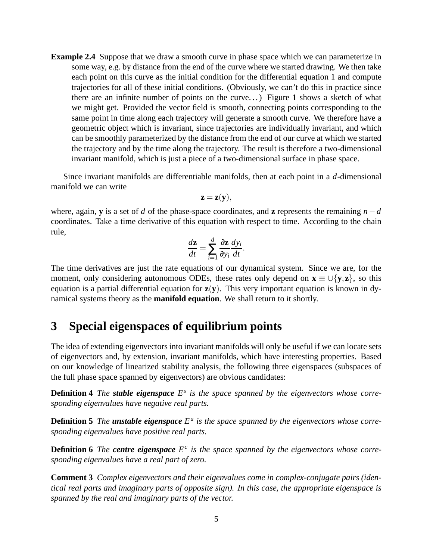**Example 2.4** Suppose that we draw a smooth curve in phase space which we can parameterize in some way, e.g. by distance from the end of the curve where we started drawing. We then take each point on this curve as the initial condition for the differential equation 1 and compute trajectories for all of these initial conditions. (Obviously, we can't do this in practice since there are an infinite number of points on the curve. . .) Figure 1 shows a sketch of what we might get. Provided the vector field is smooth, connecting points corresponding to the same point in time along each trajectory will generate a smooth curve. We therefore have a geometric object which is invariant, since trajectories are individually invariant, and which can be smoothly parameterized by the distance from the end of our curve at which we started the trajectory and by the time along the trajectory. The result is therefore a two-dimensional invariant manifold, which is just a piece of a two-dimensional surface in phase space.

Since invariant manifolds are differentiable manifolds, then at each point in a *d*-dimensional manifold we can write

$$
\mathbf{z} = \mathbf{z}(\mathbf{y}),
$$

where, again, **y** is a set of *d* of the phase-space coordinates, and **z** represents the remaining  $n-d$ coordinates. Take a time derivative of this equation with respect to time. According to the chain rule,

$$
\frac{d\mathbf{z}}{dt} = \sum_{i=1}^d \frac{\partial \mathbf{z}}{\partial y_i} \frac{dy_i}{dt}.
$$

The time derivatives are just the rate equations of our dynamical system. Since we are, for the moment, only considering autonomous ODEs, these rates only depend on  $\mathbf{x} \equiv \cup \{y, z\}$ , so this equation is a partial differential equation for **z**(**y**). This very important equation is known in dynamical systems theory as the **manifold equation**. We shall return to it shortly.

# **3 Special eigenspaces of equilibrium points**

The idea of extending eigenvectors into invariant manifolds will only be useful if we can locate sets of eigenvectors and, by extension, invariant manifolds, which have interesting properties. Based on our knowledge of linearized stability analysis, the following three eigenspaces (subspaces of the full phase space spanned by eigenvectors) are obvious candidates:

**Definition 4** The **stable eigenspace**  $E^s$  is the space spanned by the eigenvectors whose corre*sponding eigenvalues have negative real parts.*

**Definition 5** The **unstable eigenspace**  $E^u$  is the space spanned by the eigenvectors whose corre*sponding eigenvalues have positive real parts.*

**Definition 6** The *centre**eigenspace*  $E^c$  is the space spanned by the eigenvectors whose corre*sponding eigenvalues have a real part of zero.*

**Comment 3** *Complex eigenvectors and their eigenvalues come in complex-conjugate pairs (identical real parts and imaginary parts of opposite sign). In this case, the appropriate eigenspace is spanned by the real and imaginary parts of the vector.*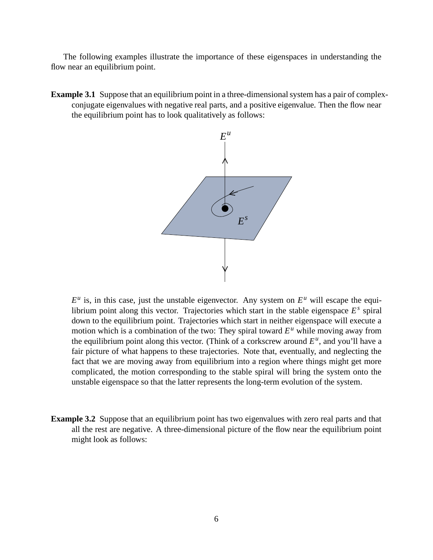The following examples illustrate the importance of these eigenspaces in understanding the flow near an equilibrium point.

**Example** 3.1 Suppose that an equilibrium point in a three-dimensional system has a pair of complexconjugate eigenvalues with negative real parts, and a positive eigenvalue. Then the flow near the equilibrium point has to look qualitatively as follows:



 $E^u$  is, in this case, just the unstable eigenvector. Any system on  $E^u$  will escape the equilibrium point along this vector. Trajectories which start in the stable eigenspace *E s* spiral down to the equilibrium point. Trajectories which start in neither eigenspace will execute a motion which is a combination of the two: They spiral toward  $E^u$  while moving away from the equilibrium point along this vector. (Think of a corkscrew around  $E^u$ , and you'll have a fair picture of what happens to these trajectories. Note that, eventually, and neglecting the fact that we are moving away from equilibrium into a region where things might get more complicated, the motion corresponding to the stable spiral will bring the system onto the unstable eigenspace so that the latter represents the long-term evolution of the system.

**Example 3.2** Suppose that an equilibrium point has two eigenvalues with zero real parts and that all the rest are negative. A three-dimensional picture of the flow near the equilibrium point might look as follows: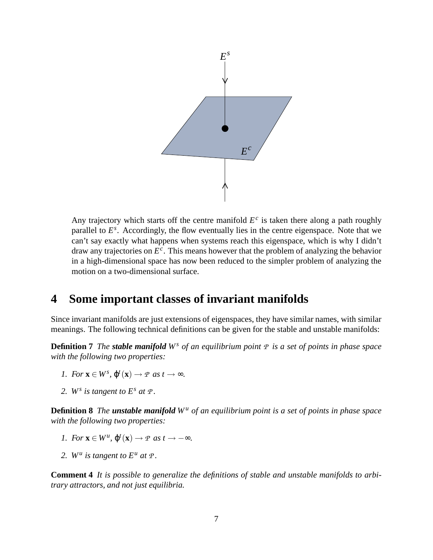

Any trajectory which starts off the centre manifold  $E^c$  is taken there along a path roughly parallel to  $E^s$ . Accordingly, the flow eventually lies in the centre eigenspace. Note that we can't say exactly what happens when systems reach this eigenspace, which is why I didn't draw any trajectories on *E c* . This means however that the problem of analyzing the behavior in a high-dimensional space has now been reduced to the simpler problem of analyzing the motion on a two-dimensional surface.

### **4 Some important classes of invariant manifolds**

Since invariant manifolds are just extensions of eigenspaces, they have similar names, with similar meanings. The following technical definitions can be given for the stable and unstable manifolds:

**Definition 7** The stable manifold  $W^s$  of an equilibrium point  $P$  is a set of points in phase space *with the following two properties:*

- *1. For*  $\mathbf{x} \in W^s$ ,  $\varphi^t(\mathbf{x}) \to P$  *as*  $t \to \infty$ .
- 2. W<sup>*s*</sup> *is tangent to*  $E^s$  *at*  $\varPsi$ *.*

**Definition 8** The unstable manifold  $W^u$  of an equilibrium point is a set of points in phase space *with the following two properties:*

- *1. For*  $\mathbf{x} \in W^u$ ,  $\varphi^t(\mathbf{x}) \to P$  *as*  $t \to -\infty$ *.*
- 2.  $W^u$  *is tangent to*  $E^u$  *at*  $\varPsi$ *.*

**Comment 4** *It is possible to generalize the definitions of stable and unstable manifolds to arbitrary attractors, and not just equilibria.*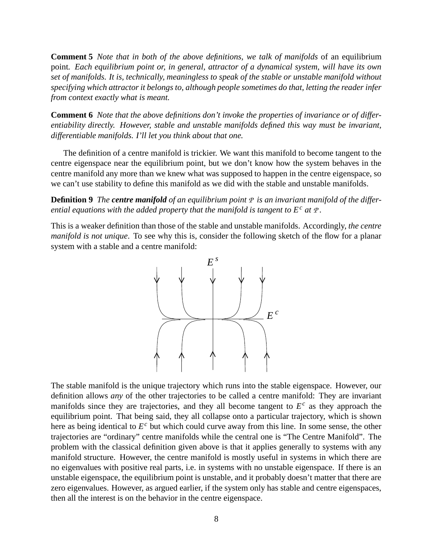**Comment 5** *Note that in both of the above definitions, we talk of manifolds* of an equilibrium point*. Each equilibrium point or, in general, attractor of a dynamical system, will have its own set of manifolds. It is, technically, meaningless to speak of the stable or unstable manifold without specifying which attractorit belongs to, although people sometimes do that, letting the reader infer from context exactly what is meant.*

**Comment 6** *Note that the above definitions don't invoke the properties of invariance or of differentiability directly. However, stable and unstable manifolds defined this way must be invariant, differentiable manifolds. I'll let you think about that one.*

The definition of a centre manifold is trickier. We want this manifold to become tangent to the centre eigenspace near the equilibrium point, but we don't know how the system behaves in the centre manifold any more than we knew what was supposed to happen in the centre eigenspace, so we can't use stability to define this manifold as we did with the stable and unstable manifolds.

**Definition 9** *The centre manifold of an equilibrium point P is an invariant manifold of the differential equations with the added property that the manifold is tangent to E <sup>c</sup> at P.*

This is a weaker definition than those of the stable and unstable manifolds. Accordingly, *the centre manifold is not unique*. To see why this is, consider the following sketch of the flow for a planar system with a stable and a centre manifold:



The stable manifold is the unique trajectory which runs into the stable eigenspace. However, our definition allows *any* of the other trajectories to be called a centre manifold: They are invariant manifolds since they are trajectories, and they all become tangent to  $E^c$  as they approach the equilibrium point. That being said, they all collapse onto a particular trajectory, which is shown here as being identical to *E <sup>c</sup>* but which could curve away from this line. In some sense, the other trajectories are "ordinary" centre manifolds while the central one is "The Centre Manifold". The problem with the classical definition given above is that it applies generally to systems with any manifold structure. However, the centre manifold is mostly useful in systems in which there are no eigenvalues with positive real parts, i.e. in systems with no unstable eigenspace. If there is an unstable eigenspace, the equilibrium point is unstable, and it probably doesn't matter that there are zero eigenvalues. However, as argued earlier, if the system only has stable and centre eigenspaces, then all the interest is on the behavior in the centre eigenspace.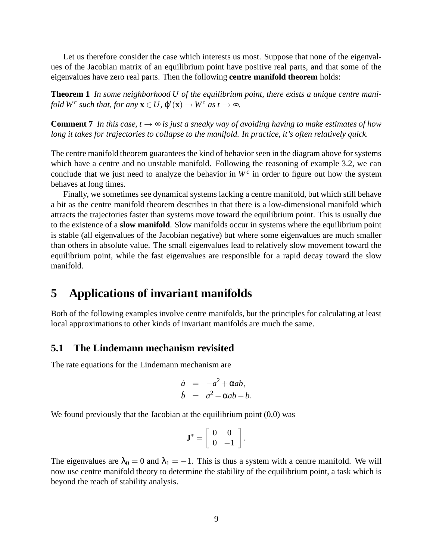Let us therefore consider the case which interests us most. Suppose that none of the eigenvalues of the Jacobian matrix of an equilibrium point have positive real parts, and that some of the eigenvalues have zero real parts. Then the following **centre manifold theorem** holds:

**Theorem 1** *In some neighborhood U of the equilibrium point, there exists a unique centre manifold*  $W^c$  *such that, for any*  $\mathbf{x} \in U$ ,  $\varphi^t(\mathbf{x}) \to W^c$  *as*  $t \to \infty$ *.* 

**Comment 7** In this case,  $t \rightarrow \infty$  is just a sneaky way of avoiding having to make estimates of how *long it takes for trajectories to collapse to the manifold. In practice, it's often relatively quick.*

The centre manifold theorem guarantees the kind of behavior seen in the diagram above for systems which have a centre and no unstable manifold. Following the reasoning of example 3.2, we can conclude that we just need to analyze the behavior in  $W<sup>c</sup>$  in order to figure out how the system behaves at long times.

Finally, we sometimes see dynamical systems lacking a centre manifold, but which still behave a bit as the centre manifold theorem describes in that there is a low-dimensional manifold which attracts the trajectories faster than systems move toward the equilibrium point. This is usually due to the existence of a **slow manifold**. Slow manifolds occur in systems where the equilibrium point is stable (all eigenvalues of the Jacobian negative) but where some eigenvalues are much smaller than others in absolute value. The small eigenvalues lead to relatively slow movement toward the equilibrium point, while the fast eigenvalues are responsible for a rapid decay toward the slow manifold.

### **5 Applications of invariant manifolds**

Both of the following examples involve centre manifolds, but the principles for calculating at least local approximations to other kinds of invariant manifolds are much the same.

#### **5.1 The Lindemann mechanism revisited**

The rate equations for the Lindemann mechanism are

$$
\dot{a} = -a^2 + \alpha ab, \n\dot{b} = a^2 - \alpha ab - b.
$$

We found previously that the Jacobian at the equilibrium point  $(0,0)$  was

$$
\mathbf{J}^* = \left[ \begin{array}{cc} 0 & 0 \\ 0 & -1 \end{array} \right].
$$

The eigenvalues are  $\lambda_0 = 0$  and  $\lambda_1 = -1$ . This is thus a system with a centre manifold. We will now use centre manifold theory to determine the stability of the equilibrium point, a task which is beyond the reach of stability analysis.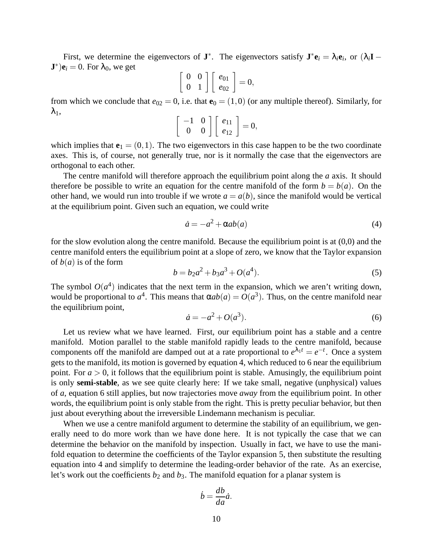First, we determine the eigenvectors of **J**<sup>\*</sup>. The eigenvectors satisfy  $\mathbf{J}^* \mathbf{e}_i = \lambda_i \mathbf{e}_i$ , or  $(\lambda_i \mathbf{I} - \mathbf{I})$  $(\mathbf{J}^*)\mathbf{e}_i = 0$ . For  $\lambda_0$ , we get  $\overline{a}$ 

$$
\left[\begin{array}{cc} 0 & 0 \\ 0 & 1 \end{array}\right] \left[\begin{array}{c} e_{01} \\ e_{02} \end{array}\right] = 0,
$$

from which we conclude that  $e_{02} = 0$ , i.e. that  $\mathbf{e}_0 = (1,0)$  (or any multiple thereof). Similarly, for  $\lambda_1$ ,

$$
\left[\begin{array}{cc} -1 & 0 \\ 0 & 0 \end{array}\right] \left[\begin{array}{c} e_{11} \\ e_{12} \end{array}\right] = 0,
$$

which implies that  $\mathbf{e}_1 = (0,1)$ . The two eigenvectors in this case happen to be the two coordinate axes. This is, of course, not generally true, nor is it normally the case that the eigenvectors are orthogonal to each other.

The centre manifold will therefore approach the equilibrium point along the *a* axis. It should therefore be possible to write an equation for the centre manifold of the form  $b = b(a)$ . On the other hand, we would run into trouble if we wrote  $a = a(b)$ , since the manifold would be vertical at the equilibrium point. Given such an equation, we could write

$$
\dot{a} = -a^2 + \alpha ab(a) \tag{4}
$$

for the slow evolution along the centre manifold. Because the equilibrium point is at (0,0) and the centre manifold enters the equilibrium point at a slope of zero, we know that the Taylor expansion of  $b(a)$  is of the form

$$
b = b_2 a^2 + b_3 a^3 + O(a^4). \tag{5}
$$

The symbol  $O(a^4)$  indicates that the next term in the expansion, which we aren't writing down, would be proportional to  $a^4$ . This means that  $\alpha ab(a) = O(a^3)$ . Thus, on the centre manifold near the equilibrium point,

$$
\dot{a} = -a^2 + O(a^3). \tag{6}
$$

Let us review what we have learned. First, our equilibrium point has a stable and a centre manifold. Motion parallel to the stable manifold rapidly leads to the centre manifold, because components off the manifold are damped out at a rate proportional to  $e^{\lambda_1 t} = e^{-t}$ . Once a system gets to the manifold, its motion is governed by equation 4, which reduced to 6 near the equilibrium point. For  $a > 0$ , it follows that the equilibrium point is stable. Amusingly, the equilibrium point is only **semi-stable**, as we see quite clearly here: If we take small, negative (unphysical) values of *a*, equation 6 still applies, but now trajectories move *away* from the equilibrium point. In other words, the equilibrium point is only stable from the right. This is pretty peculiar behavior, but then just about everything about the irreversible Lindemann mechanism is peculiar.

When we use a centre manifold argument to determine the stability of an equilibrium, we generally need to do more work than we have done here. It is not typically the case that we can determine the behavior on the manifold by inspection. Usually in fact, we have to use the manifold equation to determine the coefficients of the Taylor expansion 5, then substitute the resulting equation into 4 and simplify to determine the leading-order behavior of the rate. As an exercise, let's work out the coefficients  $b_2$  and  $b_3$ . The manifold equation for a planar system is

$$
\dot{b} = \frac{db}{da}\dot{a}.
$$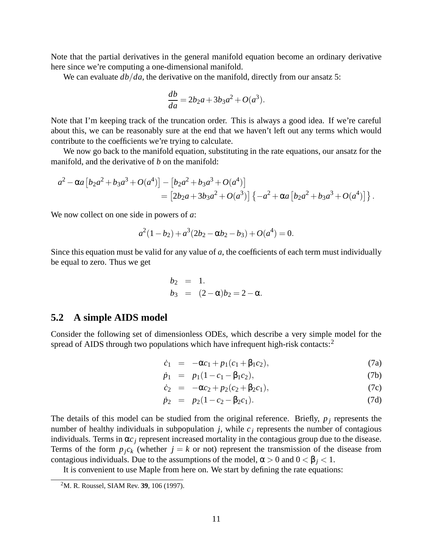Note that the partial derivatives in the general manifold equation become an ordinary derivative here since we're computing a one-dimensional manifold.

We can evaluate  $db/da$ , the derivative on the manifold, directly from our ansatz 5:

$$
\frac{db}{da} = 2b_2a + 3b_3a^2 + O(a^3).
$$

Note that I'm keeping track of the truncation order. This is always a good idea. If we're careful about this, we can be reasonably sure at the end that we haven't left out any terms which would contribute to the coefficients we're trying to calculate.

We now go back to the manifold equation, substituting in the rate equations, our ansatz for the manifold, and the derivative of *b* on the manifold:

$$
a^{2} - \alpha a \left[ b_{2} a^{2} + b_{3} a^{3} + O(a^{4}) \right] - \left[ b_{2} a^{2} + b_{3} a^{3} + O(a^{4}) \right]
$$
  
= 
$$
\left[ 2b_{2} a + 3b_{3} a^{2} + O(a^{3}) \right] \left\{ -a^{2} + \alpha a \left[ b_{2} a^{2} + b_{3} a^{3} + O(a^{4}) \right] \right\}.
$$

We now collect on one side in powers of *a*:

$$
a^2(1-b_2) + a^3(2b_2 - \alpha b_2 - b_3) + O(a^4) = 0.
$$

Since this equation must be valid for any value of *a*, the coefficients of each term must individually be equal to zero. Thus we get

$$
b_2 = 1.
$$
  
\n $b_3 = (2-\alpha)b_2 = 2-\alpha.$ 

#### **5.2 A simple AIDS model**

Consider the following set of dimensionless ODEs, which describe a very simple model for the spread of AIDS through two populations which have infrequent high-risk contacts: $2$ 

$$
\dot{c}_1 = -\alpha c_1 + p_1(c_1 + \beta_1 c_2), \tag{7a}
$$

$$
\dot{p}_1 = p_1(1 - c_1 - \beta_1 c_2), \tag{7b}
$$

$$
\dot{c}_2 = -\alpha c_2 + p_2(c_2 + \beta_2 c_1), \tag{7c}
$$

$$
\dot{p}_2 = p_2(1 - c_2 - \beta_2 c_1). \tag{7d}
$$

The details of this model can be studied from the original reference. Briefly,  $p_i$  represents the number of healthy individuals in subpopulation  $j$ , while  $c_j$  represents the number of contagious individuals. Terms in  $\alpha c_j$  represent increased mortality in the contagious group due to the disease. Terms of the form  $p_jc_k$  (whether  $j = k$  or not) represent the transmission of the disease from contagious individuals. Due to the assumptions of the model,  $\alpha > 0$  and  $0 < \beta_i < 1$ .

It is convenient to use Maple from here on. We start by defining the rate equations:

<sup>2</sup>M. R. Roussel, SIAM Rev. **39**, 106 (1997).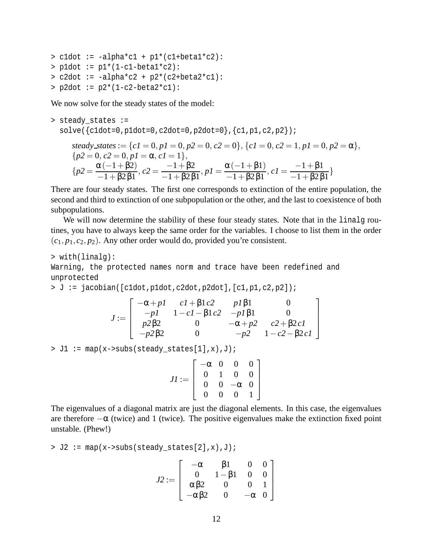```
> cldot := -alpha*c1 + p1*(c1+beta1*c2):
> p1dot := p1*(1-c1-betal*c2):
> c2dot := -alpha*c2 + p2*(c2+beta2*c1):
> p2dot := p2*(1-c2-beta2*c1):
```
We now solve for the steady states of the model:

```
> steady_states :=
   solve({cdot=0,p1dot=0,c2dot=0,p2dot=0},{c1,p2dot=0};steady_states := \{cI = 0, pI = 0, p2 = 0, c2 = 0\}, \{cI = 0, c2 = 1, pI = 0, p2 = \alpha\},\{p2 = 0, c2 = 0, pl = \alpha, cl = 1},{p2} =\alpha(-1+\beta2)-1+\beta 2\beta 1, c2 = \frac{-1 + \beta 2}{1 + \beta 2 \beta}-1+\beta 2\beta 1, p1 = \frac{\alpha(-1+\beta1)}{1+\beta 2\beta 1}-1+\beta 2\beta 1, c1 = \frac{-1 + \beta 1}{1 + \beta 2 \beta}-1+\beta 2\beta 1
```
There are four steady states. The first one corresponds to extinction of the entire population, the second and third to extinction of one subpopulation or the other, and the last to coexistence of both subpopulations.

We will now determine the stability of these four steady states. Note that in the linalg routines, you have to always keep the same order for the variables. I choose to list them in the order  $(c_1, p_1, c_2, p_2)$ . Any other order would do, provided you're consistent.

```
> with(linalg):
```
Warning, the protected names norm and trace have been redefined and unprotected

> J := jacobian([c1dot,p1dot,c2dot,p2dot],[c1,p1,c2,p2]);

$$
J := \begin{bmatrix} -\alpha + pI & cI + \beta 1c2 & pI\beta 1 & 0 \\ -pI & 1 - cI - \beta 1c2 & -pI\beta 1 & 0 \\ p2\beta 2 & 0 & -\alpha + p2 & c2 + \beta 2cI \\ -p2\beta 2 & 0 & -p2 & 1 - c2 - \beta 2cI \end{bmatrix}
$$

> J1 := map(x->subs(steady\_states[1],x),J);

$$
JI := \left[ \begin{array}{rrr} -\alpha & 0 & 0 & 0 \\ 0 & 1 & 0 & 0 \\ 0 & 0 & -\alpha & 0 \\ 0 & 0 & 0 & 1 \end{array} \right]
$$

The eigenvalues of a diagonal matrix are just the diagonal elements. In this case, the eigenvalues are therefore  $-\alpha$  (twice) and 1 (twice). The positive eigenvalues make the extinction fixed point unstable. (Phew!)

 $> J2 := map(x->subs(steady_states[2], x), J);$ 

$$
J2 := \left[ \begin{array}{cccc} -\alpha & \beta 1 & 0 & 0 \\ 0 & 1 - \beta 1 & 0 & 0 \\ \alpha \beta 2 & 0 & 0 & 1 \\ -\alpha \beta 2 & 0 & -\alpha & 0 \end{array} \right]
$$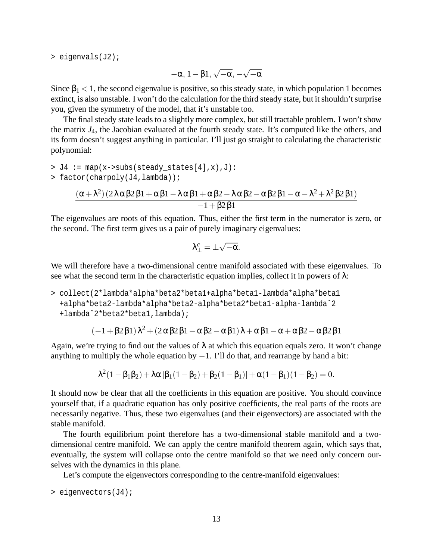> eigenvals(J2);

$$
-\alpha,\,1-\beta1,\,\sqrt{-\alpha},\,-\sqrt{-\alpha}
$$

Since  $\beta_1 < 1$ , the second eigenvalue is positive, so this steady state, in which population 1 becomes extinct, is also unstable. I won't do the calculation for the third steady state, but it shouldn't surprise you, given the symmetry of the model, that it's unstable too.

The final steady state leads to a slightly more complex, but still tractable problem. I won't show the matrix *J*4, the Jacobian evaluated at the fourth steady state. It's computed like the others, and its form doesn't suggest anything in particular. I'll just go straight to calculating the characteristic polynomial:

$$
> J4 := \text{map}(x->subs(\text{steady\_states}[4], x), J):
$$
\n
$$
> factor(charpoly(J4, lambda));
$$
\n
$$
\frac{(\alpha + \lambda^2)(2\lambda\alpha\beta2\beta1 + \alpha\beta1 - \lambda\alpha\beta1 + \alpha\beta2 - \lambda\alpha\beta2 - \alpha\beta2\beta1 - \alpha - \lambda^2 + \lambda^2\beta2\beta1)}{-1 + \beta2\beta1}
$$

The eigenvalues are roots of this equation. Thus, either the first term in the numerator is zero, or the second. The first term gives us a pair of purely imaginary eigenvalues:

$$
\lambda^c_\pm = \pm \sqrt{-\alpha}.
$$

We will therefore have a two-dimensional centre manifold associated with these eigenvalues. To see what the second term in the characteristic equation implies, collect it in powers of  $\lambda$ :

> collect(2\*lambda\*alpha\*beta2\*beta1+alpha\*beta1-lambda\*alpha\*beta1 +alpha\*beta2-lambda\*alpha\*beta2-alpha\*beta2\*beta1-alpha-lambdaˆ2 +lambdaˆ2\*beta2\*beta1,lambda);

$$
(-1+\beta2\beta1)\lambda^2+(2\alpha\beta2\beta1-\alpha\beta2-\alpha\beta1)\lambda+\alpha\beta1-\alpha+\alpha\beta2-\alpha\beta2\beta1
$$

Again, we're trying to find out the values of  $\lambda$  at which this equation equals zero. It won't change anything to multiply the whole equation by  $-1$ . I'll do that, and rearrange by hand a bit:

$$
\lambda^2(1-\beta_1\beta_2) + \lambda\alpha\left[\beta_1(1-\beta_2) + \beta_2(1-\beta_1)\right] + \alpha(1-\beta_1)(1-\beta_2) = 0.
$$

It should now be clear that all the coefficients in this equation are positive. You should convince yourself that, if a quadratic equation has only positive coefficients, the real parts of the roots are necessarily negative. Thus, these two eigenvalues (and their eigenvectors) are associated with the stable manifold.

The fourth equilibrium point therefore has a two-dimensional stable manifold and a twodimensional centre manifold. We can apply the centre manifold theorem again, which says that, eventually, the system will collapse onto the centre manifold so that we need only concern ourselves with the dynamics in this plane.

Let's compute the eigenvectors corresponding to the centre-manifold eigenvalues:

> eigenvectors(J4);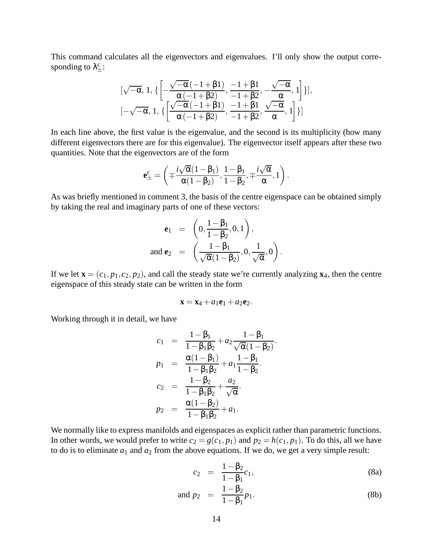This command calculates all the eigenvectors and eigenvalues. I'll only show the output corresponding to  $\lambda_{\pm}^{c}$ :

$$
[\sqrt{-\alpha},1,\{\left[-\frac{\sqrt{-\alpha}\left(-1+\beta1\right)}{\alpha \left(-1+\beta2\right)},\frac{-1+\beta1}{-1+\beta2},-\frac{\sqrt{-\alpha}}{\alpha},1\right]\}],\\ [-\sqrt{-\alpha},1,\{\left[\frac{\sqrt{-\alpha}\left(-1+\beta1\right)}{\alpha \left(-1+\beta2\right)},\frac{-1+\beta1}{-1+\beta2},\frac{\sqrt{-\alpha}}{\alpha},1\right]\}]
$$

In each line above, the first value is the eigenvalue, and the second is its multiplicity (how many different eigenvectors there are for this eigenvalue). The eigenvector itself appears after these two quantities. Note that the eigenvectors are of the form

$$
\pmb{e}_{\pm}^c = \left(\mp \frac{i\sqrt{\alpha}(1-\beta_1)}{\alpha(1-\beta_2)}, \frac{1-\beta_1}{1-\beta_2}, \mp \frac{i\sqrt{\alpha}}{\alpha}, 1\right).
$$

As was briefly mentioned in comment 3, the basis of the centre eigenspace can be obtained simply by taking the real and imaginary parts of one of these vectors:

$$
\mathbf{e}_1 = \left(0, \frac{1-\beta_1}{1-\beta_2}, 0, 1\right),
$$
  
and 
$$
\mathbf{e}_2 = \left(\frac{1-\beta_1}{\sqrt{\alpha}(1-\beta_2)}, 0, \frac{1}{\sqrt{\alpha}}, 0\right).
$$

If we let  $\mathbf{x} = (c_1, p_1, c_2, p_2)$ , and call the steady state we're currently analyzing  $\mathbf{x}_4$ , then the centre eigenspace of this steady state can be written in the form

$$
\mathbf{x} = \mathbf{x}_4 + a_1 \mathbf{e}_1 + a_2 \mathbf{e}_2.
$$

Working through it in detail, we have

$$
c_1 = \frac{1 - \beta_1}{1 - \beta_1 \beta_2} + a_2 \frac{1 - \beta_1}{\sqrt{\alpha}(1 - \beta_2)}
$$
  
\n
$$
p_1 = \frac{\alpha(1 - \beta_1)}{1 - \beta_1 \beta_2} + a_1 \frac{1 - \beta_1}{1 - \beta_2}.
$$
  
\n
$$
c_2 = \frac{1 - \beta_2}{1 - \beta_1 \beta_2} + \frac{a_2}{\sqrt{\alpha}}.
$$
  
\n
$$
p_2 = \frac{\alpha(1 - \beta_2)}{1 - \beta_1 \beta_2} + a_1.
$$

We normally like to express manifolds and eigenspaces as explicit rather than parametric functions. In other words, we would prefer to write  $c_2 = g(c_1, p_1)$  and  $p_2 = h(c_1, p_1)$ . To do this, all we have to do is to eliminate  $a_1$  and  $a_2$  from the above equations. If we do, we get a very simple result:

$$
c_2 = \frac{1 - \beta_2}{1 - \beta_1} c_1, \tag{8a}
$$

and 
$$
p_2 = \frac{1 - \beta_2}{1 - \beta_1} p_1.
$$
 (8b)

.